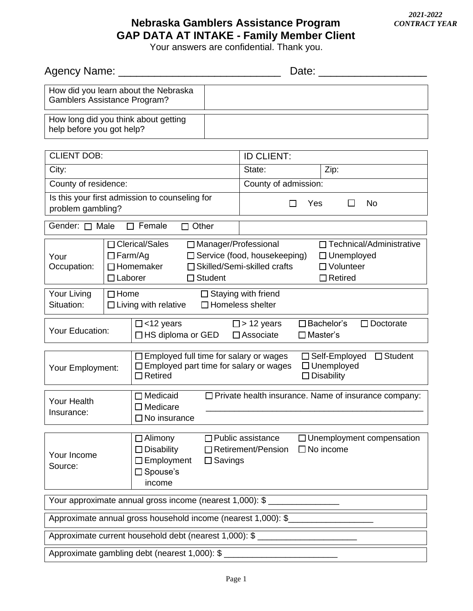## **Nebraska Gamblers Assistance Program GAP DATA AT INTAKE - Family Member Client**

Your answers are confidential. Thank you.

| Agency Name:                                                                |                                  |                                                                                                                                                                                                 | Date:                                                                                                                                                    |  |  |
|-----------------------------------------------------------------------------|----------------------------------|-------------------------------------------------------------------------------------------------------------------------------------------------------------------------------------------------|----------------------------------------------------------------------------------------------------------------------------------------------------------|--|--|
| How did you learn about the Nebraska<br><b>Gamblers Assistance Program?</b> |                                  |                                                                                                                                                                                                 |                                                                                                                                                          |  |  |
| help before you got help?                                                   |                                  | How long did you think about getting                                                                                                                                                            |                                                                                                                                                          |  |  |
| <b>CLIENT DOB:</b>                                                          |                                  |                                                                                                                                                                                                 | <b>ID CLIENT:</b>                                                                                                                                        |  |  |
| City:                                                                       |                                  |                                                                                                                                                                                                 | State:<br>Zip:                                                                                                                                           |  |  |
| County of residence:                                                        |                                  |                                                                                                                                                                                                 | County of admission:                                                                                                                                     |  |  |
| Is this your first admission to counseling for<br>problem gambling?         |                                  |                                                                                                                                                                                                 | Yes<br><b>No</b><br>ΙI<br>П                                                                                                                              |  |  |
| Gender: □ Male                                                              |                                  | $\Box$ Female<br>$\Box$ Other                                                                                                                                                                   |                                                                                                                                                          |  |  |
| Your<br>Occupation:                                                         | $\Box$ Farm/Ag<br>$\Box$ Laborer | □ Clerical/Sales<br>$\Box$ Manager/Professional<br>$\Box$ Homemaker<br>$\Box$ Student                                                                                                           | $\Box$ Technical/Administrative<br>□ Service (food, housekeeping)<br>□ Unemployed<br>□ Skilled/Semi-skilled crafts<br>$\Box$ Volunteer<br>$\Box$ Retired |  |  |
| Your Living<br>Situation:                                                   | $\Box$ Home                      | $\Box$ Staying with friend<br>$\Box$ Homeless shelter<br>$\Box$ Living with relative                                                                                                            |                                                                                                                                                          |  |  |
| Your Education:                                                             |                                  | $\Box$ <12 years<br>□HS diploma or GED                                                                                                                                                          | $\square$ > 12 years<br>$\square$ Bachelor's<br>$\Box$ Doctorate<br>$\Box$ Associate<br>$\Box$ Master's                                                  |  |  |
| Your Employment:                                                            |                                  | $\Box$ Employed full time for salary or wages<br>$\Box$ Student<br>□ Self-Employed<br>$\Box$ Employed part time for salary or wages<br>$\Box$ Unemployed<br>$\Box$ Retired<br>$\Box$ Disability |                                                                                                                                                          |  |  |
| <b>Your Health</b><br>Insurance:                                            |                                  | $\Box$ Medicaid<br>$\Box$ Medicare<br>$\square$ No insurance                                                                                                                                    | □ Private health insurance. Name of insurance company:                                                                                                   |  |  |
| Your Income<br>Source:                                                      |                                  | $\Box$ Alimony<br>$\Box$ Disability<br>$\Box$ Employment<br>$\Box$ Savings<br>$\square$ Spouse's<br>income                                                                                      | $\Box$ Unemployment compensation<br>$\Box$ Public assistance<br>$\Box$ Retirement/Pension<br>$\Box$ No income                                            |  |  |
| Your approximate annual gross income (nearest 1,000): \$                    |                                  |                                                                                                                                                                                                 |                                                                                                                                                          |  |  |
| Approximate annual gross household income (nearest 1,000): \$               |                                  |                                                                                                                                                                                                 |                                                                                                                                                          |  |  |
| Approximate current household debt (nearest 1,000): \$                      |                                  |                                                                                                                                                                                                 |                                                                                                                                                          |  |  |
| Approximate gambling debt (nearest 1,000): \$                               |                                  |                                                                                                                                                                                                 |                                                                                                                                                          |  |  |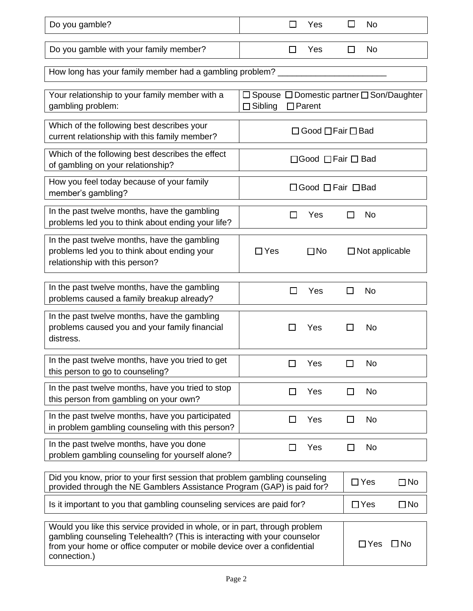| Do you gamble?                                                                                                                                                                                                                                   | $\Box$<br>П<br>Yes<br>No                                                                     |  |  |  |  |  |  |
|--------------------------------------------------------------------------------------------------------------------------------------------------------------------------------------------------------------------------------------------------|----------------------------------------------------------------------------------------------|--|--|--|--|--|--|
| Do you gamble with your family member?                                                                                                                                                                                                           | Yes<br>П<br>No.<br>LI                                                                        |  |  |  |  |  |  |
| How long has your family member had a gambling problem?                                                                                                                                                                                          |                                                                                              |  |  |  |  |  |  |
| Your relationship to your family member with a<br>gambling problem:                                                                                                                                                                              | $\Box$ Spouse $\Box$ Domestic partner $\Box$ Son/Daughter<br>$\Box$ Parent<br>$\Box$ Sibling |  |  |  |  |  |  |
| Which of the following best describes your<br>current relationship with this family member?                                                                                                                                                      | $\Box$ Good $\Box$ Fair $\Box$ Bad                                                           |  |  |  |  |  |  |
| Which of the following best describes the effect<br>of gambling on your relationship?                                                                                                                                                            | □Good □Fair □ Bad                                                                            |  |  |  |  |  |  |
| How you feel today because of your family<br>member's gambling?                                                                                                                                                                                  | □Good □ Fair □ Bad                                                                           |  |  |  |  |  |  |
| In the past twelve months, have the gambling<br>problems led you to think about ending your life?                                                                                                                                                | Yes<br>No<br>ΙI<br>ΙI                                                                        |  |  |  |  |  |  |
| In the past twelve months, have the gambling<br>problems led you to think about ending your<br>relationship with this person?                                                                                                                    | $\Box$ Yes<br>$\Box$ Not applicable<br>$\square$ No                                          |  |  |  |  |  |  |
| In the past twelve months, have the gambling<br>problems caused a family breakup already?                                                                                                                                                        | Yes<br>No<br>ΙI<br>l 1                                                                       |  |  |  |  |  |  |
| In the past twelve months, have the gambling<br>problems caused you and your family financial<br>distress.                                                                                                                                       | Yes<br>No<br>∣∣<br>$\mathsf{L}$                                                              |  |  |  |  |  |  |
| In the past twelve months, have you tried to get<br>this person to go to counseling?                                                                                                                                                             | Yes<br>No                                                                                    |  |  |  |  |  |  |
| In the past twelve months, have you tried to stop<br>this person from gambling on your own?                                                                                                                                                      | Yes<br><b>No</b><br>П                                                                        |  |  |  |  |  |  |
| In the past twelve months, have you participated<br>in problem gambling counseling with this person?                                                                                                                                             | Yes<br>No<br>$\Box$                                                                          |  |  |  |  |  |  |
| In the past twelve months, have you done<br>problem gambling counseling for yourself alone?                                                                                                                                                      | Yes<br><b>No</b><br>$\Box$<br>П                                                              |  |  |  |  |  |  |
| Did you know, prior to your first session that problem gambling counseling<br>provided through the NE Gamblers Assistance Program (GAP) is paid for?                                                                                             | $\Box$ Yes<br>$\Box$ No                                                                      |  |  |  |  |  |  |
| Is it important to you that gambling counseling services are paid for?                                                                                                                                                                           | $\Box$ Yes<br>$\square$ No                                                                   |  |  |  |  |  |  |
| Would you like this service provided in whole, or in part, through problem<br>gambling counseling Telehealth? (This is interacting with your counselor<br>from your home or office computer or mobile device over a confidential<br>connection.) | $\square$ No<br>$\Box$ Yes                                                                   |  |  |  |  |  |  |